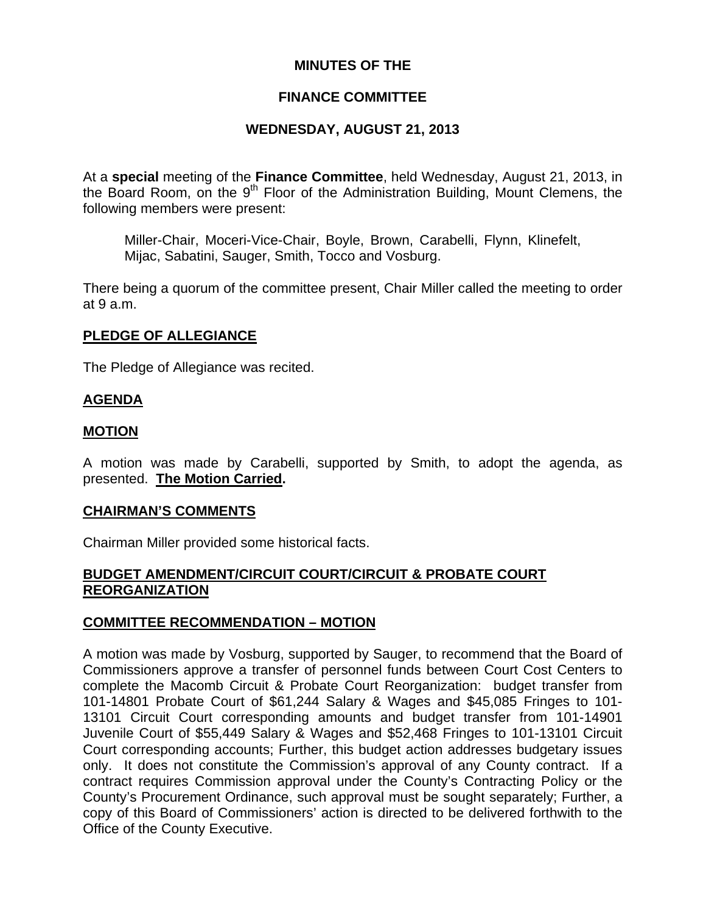## **MINUTES OF THE**

# **FINANCE COMMITTEE**

# **WEDNESDAY, AUGUST 21, 2013**

At a **special** meeting of the **Finance Committee**, held Wednesday, August 21, 2013, in the Board Room, on the 9<sup>th</sup> Floor of the Administration Building, Mount Clemens, the following members were present:

Miller-Chair, Moceri-Vice-Chair, Boyle, Brown, Carabelli, Flynn, Klinefelt, Mijac, Sabatini, Sauger, Smith, Tocco and Vosburg.

There being a quorum of the committee present, Chair Miller called the meeting to order at 9 a.m.

# **PLEDGE OF ALLEGIANCE**

The Pledge of Allegiance was recited.

## **AGENDA**

## **MOTION**

A motion was made by Carabelli, supported by Smith, to adopt the agenda, as presented. **The Motion Carried.** 

### **CHAIRMAN'S COMMENTS**

Chairman Miller provided some historical facts.

## **BUDGET AMENDMENT/CIRCUIT COURT/CIRCUIT & PROBATE COURT REORGANIZATION**

### **COMMITTEE RECOMMENDATION – MOTION**

A motion was made by Vosburg, supported by Sauger, to recommend that the Board of Commissioners approve a transfer of personnel funds between Court Cost Centers to complete the Macomb Circuit & Probate Court Reorganization: budget transfer from 101-14801 Probate Court of \$61,244 Salary & Wages and \$45,085 Fringes to 101- 13101 Circuit Court corresponding amounts and budget transfer from 101-14901 Juvenile Court of \$55,449 Salary & Wages and \$52,468 Fringes to 101-13101 Circuit Court corresponding accounts; Further, this budget action addresses budgetary issues only. It does not constitute the Commission's approval of any County contract. If a contract requires Commission approval under the County's Contracting Policy or the County's Procurement Ordinance, such approval must be sought separately; Further, a copy of this Board of Commissioners' action is directed to be delivered forthwith to the Office of the County Executive.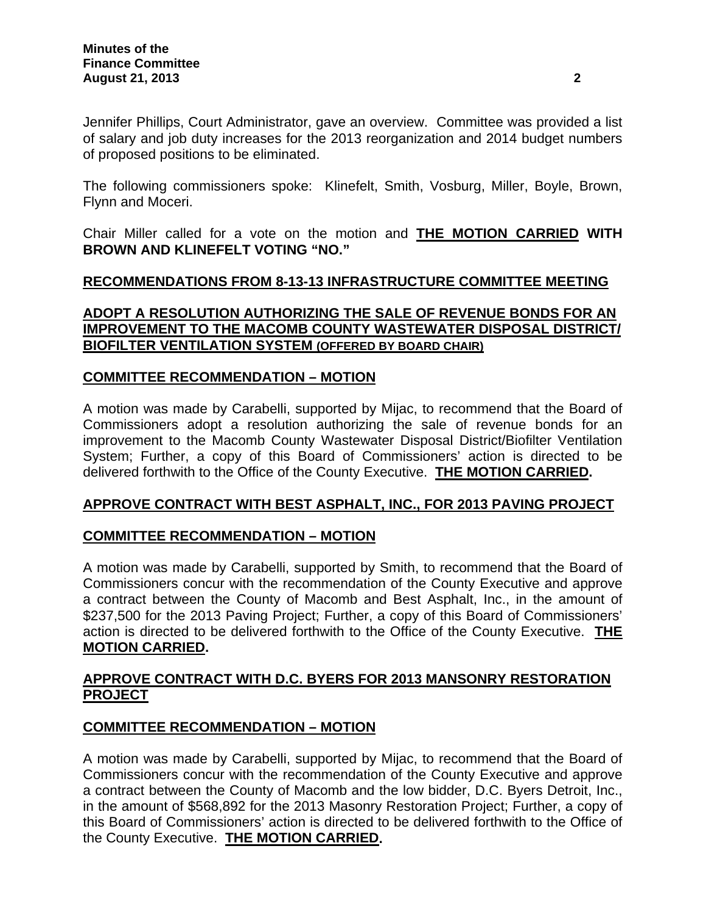Jennifer Phillips, Court Administrator, gave an overview. Committee was provided a list of salary and job duty increases for the 2013 reorganization and 2014 budget numbers of proposed positions to be eliminated.

The following commissioners spoke: Klinefelt, Smith, Vosburg, Miller, Boyle, Brown, Flynn and Moceri.

Chair Miller called for a vote on the motion and **THE MOTION CARRIED WITH BROWN AND KLINEFELT VOTING "NO."** 

## **RECOMMENDATIONS FROM 8-13-13 INFRASTRUCTURE COMMITTEE MEETING**

# **ADOPT A RESOLUTION AUTHORIZING THE SALE OF REVENUE BONDS FOR AN IMPROVEMENT TO THE MACOMB COUNTY WASTEWATER DISPOSAL DISTRICT/ BIOFILTER VENTILATION SYSTEM (OFFERED BY BOARD CHAIR)**

# **COMMITTEE RECOMMENDATION – MOTION**

A motion was made by Carabelli, supported by Mijac, to recommend that the Board of Commissioners adopt a resolution authorizing the sale of revenue bonds for an improvement to the Macomb County Wastewater Disposal District/Biofilter Ventilation System; Further, a copy of this Board of Commissioners' action is directed to be delivered forthwith to the Office of the County Executive. **THE MOTION CARRIED.** 

# **APPROVE CONTRACT WITH BEST ASPHALT, INC., FOR 2013 PAVING PROJECT**

# **COMMITTEE RECOMMENDATION – MOTION**

A motion was made by Carabelli, supported by Smith, to recommend that the Board of Commissioners concur with the recommendation of the County Executive and approve a contract between the County of Macomb and Best Asphalt, Inc., in the amount of \$237,500 for the 2013 Paving Project; Further, a copy of this Board of Commissioners' action is directed to be delivered forthwith to the Office of the County Executive. **THE MOTION CARRIED.** 

## **APPROVE CONTRACT WITH D.C. BYERS FOR 2013 MANSONRY RESTORATION PROJECT**

### **COMMITTEE RECOMMENDATION – MOTION**

A motion was made by Carabelli, supported by Mijac, to recommend that the Board of Commissioners concur with the recommendation of the County Executive and approve a contract between the County of Macomb and the low bidder, D.C. Byers Detroit, Inc., in the amount of \$568,892 for the 2013 Masonry Restoration Project; Further, a copy of this Board of Commissioners' action is directed to be delivered forthwith to the Office of the County Executive. **THE MOTION CARRIED.**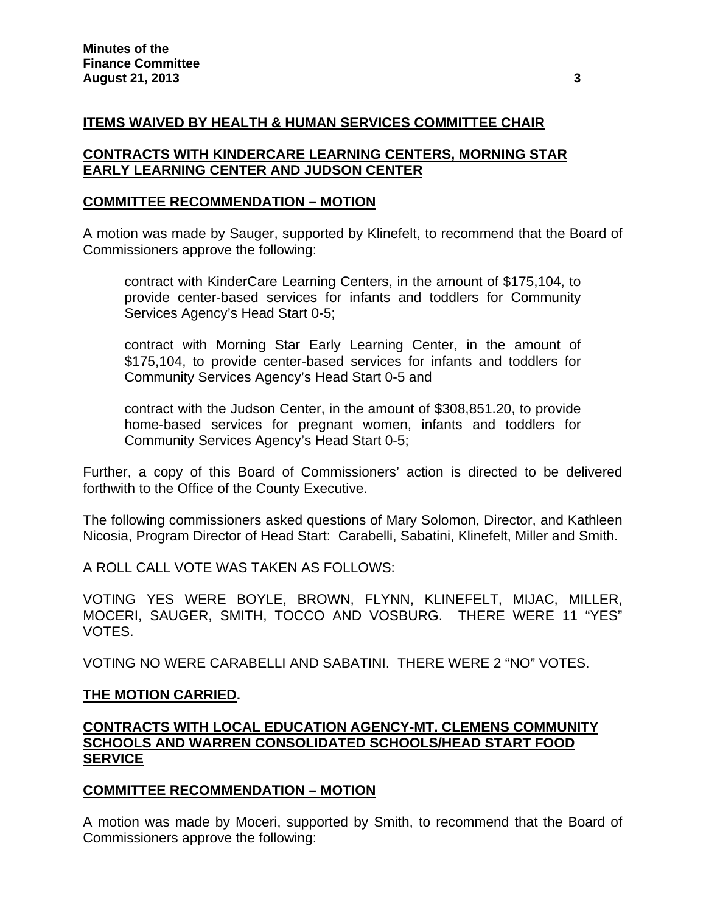# **ITEMS WAIVED BY HEALTH & HUMAN SERVICES COMMITTEE CHAIR**

## **CONTRACTS WITH KINDERCARE LEARNING CENTERS, MORNING STAR EARLY LEARNING CENTER AND JUDSON CENTER**

## **COMMITTEE RECOMMENDATION – MOTION**

A motion was made by Sauger, supported by Klinefelt, to recommend that the Board of Commissioners approve the following:

contract with KinderCare Learning Centers, in the amount of \$175,104, to provide center-based services for infants and toddlers for Community Services Agency's Head Start 0-5;

contract with Morning Star Early Learning Center, in the amount of \$175,104, to provide center-based services for infants and toddlers for Community Services Agency's Head Start 0-5 and

contract with the Judson Center, in the amount of \$308,851.20, to provide home-based services for pregnant women, infants and toddlers for Community Services Agency's Head Start 0-5;

Further, a copy of this Board of Commissioners' action is directed to be delivered forthwith to the Office of the County Executive.

The following commissioners asked questions of Mary Solomon, Director, and Kathleen Nicosia, Program Director of Head Start: Carabelli, Sabatini, Klinefelt, Miller and Smith.

A ROLL CALL VOTE WAS TAKEN AS FOLLOWS:

VOTING YES WERE BOYLE, BROWN, FLYNN, KLINEFELT, MIJAC, MILLER, MOCERI, SAUGER, SMITH, TOCCO AND VOSBURG. THERE WERE 11 "YES" VOTES.

VOTING NO WERE CARABELLI AND SABATINI. THERE WERE 2 "NO" VOTES.

### **THE MOTION CARRIED.**

# **CONTRACTS WITH LOCAL EDUCATION AGENCY-MT. CLEMENS COMMUNITY SCHOOLS AND WARREN CONSOLIDATED SCHOOLS/HEAD START FOOD SERVICE**

# **COMMITTEE RECOMMENDATION – MOTION**

A motion was made by Moceri, supported by Smith, to recommend that the Board of Commissioners approve the following: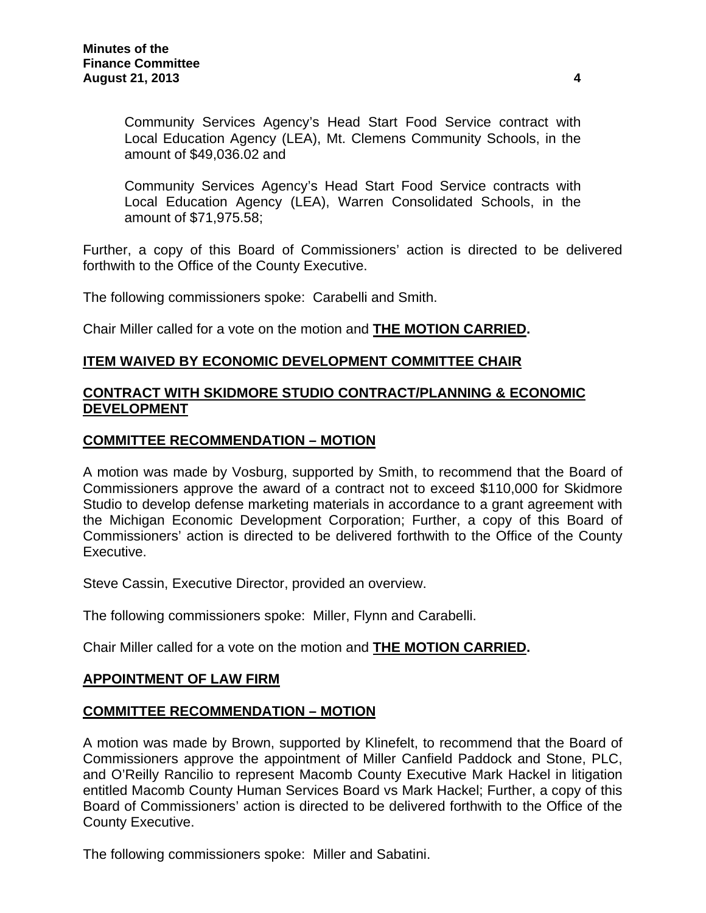Community Services Agency's Head Start Food Service contract with Local Education Agency (LEA), Mt. Clemens Community Schools, in the amount of \$49,036.02 and

Community Services Agency's Head Start Food Service contracts with Local Education Agency (LEA), Warren Consolidated Schools, in the amount of \$71,975.58;

Further, a copy of this Board of Commissioners' action is directed to be delivered forthwith to the Office of the County Executive.

The following commissioners spoke: Carabelli and Smith.

Chair Miller called for a vote on the motion and **THE MOTION CARRIED.** 

## **ITEM WAIVED BY ECONOMIC DEVELOPMENT COMMITTEE CHAIR**

## **CONTRACT WITH SKIDMORE STUDIO CONTRACT/PLANNING & ECONOMIC DEVELOPMENT**

### **COMMITTEE RECOMMENDATION – MOTION**

A motion was made by Vosburg, supported by Smith, to recommend that the Board of Commissioners approve the award of a contract not to exceed \$110,000 for Skidmore Studio to develop defense marketing materials in accordance to a grant agreement with the Michigan Economic Development Corporation; Further, a copy of this Board of Commissioners' action is directed to be delivered forthwith to the Office of the County Executive.

Steve Cassin, Executive Director, provided an overview.

The following commissioners spoke: Miller, Flynn and Carabelli.

Chair Miller called for a vote on the motion and **THE MOTION CARRIED.** 

### **APPOINTMENT OF LAW FIRM**

### **COMMITTEE RECOMMENDATION – MOTION**

A motion was made by Brown, supported by Klinefelt, to recommend that the Board of Commissioners approve the appointment of Miller Canfield Paddock and Stone, PLC, and O'Reilly Rancilio to represent Macomb County Executive Mark Hackel in litigation entitled Macomb County Human Services Board vs Mark Hackel; Further, a copy of this Board of Commissioners' action is directed to be delivered forthwith to the Office of the County Executive.

The following commissioners spoke: Miller and Sabatini.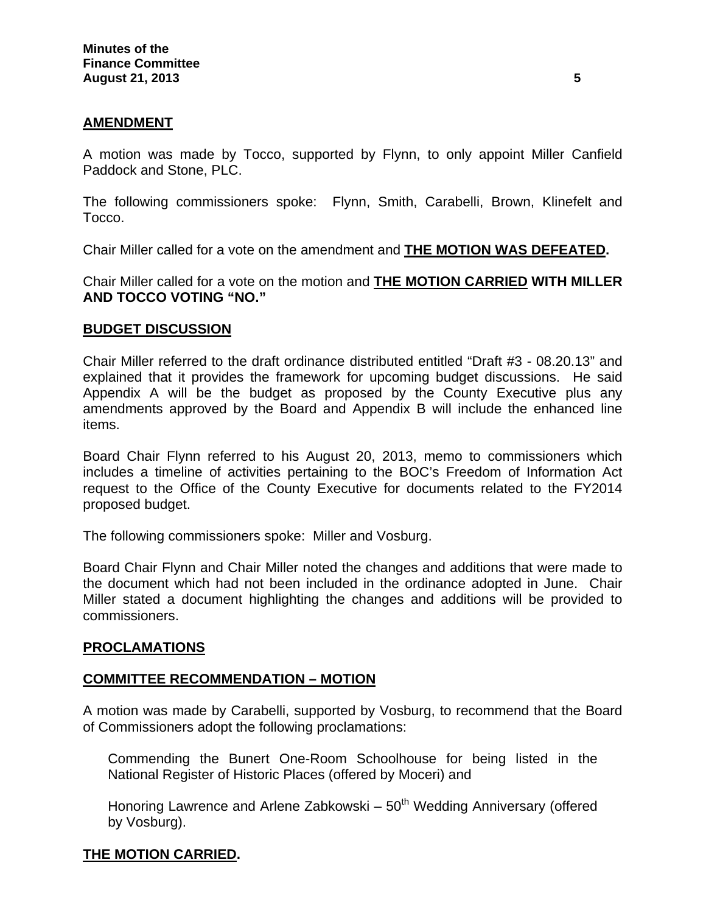## **AMENDMENT**

A motion was made by Tocco, supported by Flynn, to only appoint Miller Canfield Paddock and Stone, PLC.

The following commissioners spoke: Flynn, Smith, Carabelli, Brown, Klinefelt and Tocco.

Chair Miller called for a vote on the amendment and **THE MOTION WAS DEFEATED.** 

Chair Miller called for a vote on the motion and **THE MOTION CARRIED WITH MILLER AND TOCCO VOTING "NO."** 

### **BUDGET DISCUSSION**

Chair Miller referred to the draft ordinance distributed entitled "Draft #3 - 08.20.13" and explained that it provides the framework for upcoming budget discussions. He said Appendix A will be the budget as proposed by the County Executive plus any amendments approved by the Board and Appendix B will include the enhanced line items.

Board Chair Flynn referred to his August 20, 2013, memo to commissioners which includes a timeline of activities pertaining to the BOC's Freedom of Information Act request to the Office of the County Executive for documents related to the FY2014 proposed budget.

The following commissioners spoke: Miller and Vosburg.

Board Chair Flynn and Chair Miller noted the changes and additions that were made to the document which had not been included in the ordinance adopted in June. Chair Miller stated a document highlighting the changes and additions will be provided to commissioners.

### **PROCLAMATIONS**

### **COMMITTEE RECOMMENDATION – MOTION**

A motion was made by Carabelli, supported by Vosburg, to recommend that the Board of Commissioners adopt the following proclamations:

Commending the Bunert One-Room Schoolhouse for being listed in the National Register of Historic Places (offered by Moceri) and

Honoring Lawrence and Arlene Zabkowski – 50<sup>th</sup> Wedding Anniversary (offered by Vosburg).

### **THE MOTION CARRIED.**